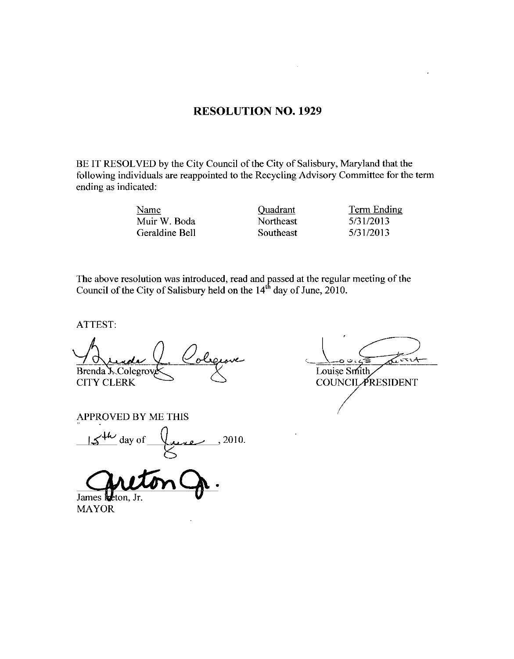### RESOLUTION NO. 1929

BE IT RESOLVED by the City Council of the City of Salisbury, Maryland that the Following individuals are reappointed to the Recycling Advisory Committee for the term<br>
ending as indicated:<br>
Muir W. Boda<br>
Muir W. Boda<br>
Ceraldine Bell<br>
Muir Southeast<br>
Southeast<br>
Signals Signals Signals Signals Signals S ending as indicated Viewals are reappointed to the Recycling Advisory Committee it<br>ated:<br>Muir W. Boda<br>Geraldine Bell Southeast 5/31/2013<br>Southeast 5/31/2013

Name Quadrant Term Ending

ATTEST

The above resolution was introduced, read and passed at the regular meeting of the<br>
Council of the City of Salisbury held on the 14<sup>th</sup> day of June, 2010.<br>
ATTEST:<br>
STERT:<br>
STERT:<br>
STERT:<br>
STERT:<br>
COUNCIL PRESIDEN<br>
COUNCIL سصر Brenda J. Colegrov CITY CLERK

APPROVED BY ME THIS

PROVED BY ME THIS<br>IS the day of  $\frac{1}{5}$  2010.

James **k**eton. Jr.

MAYOR

Louise Smith **COUNCIL PRESIDENT**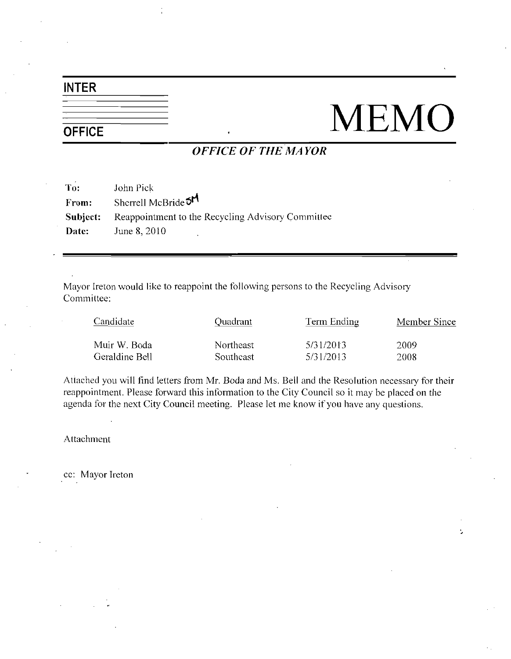## INTER

# $\frac{1}{\sqrt{\text{OPEIC}}}\qquad \text{MEMO}$

ł,

## OFFICE OF THE MAYOR

|          | <i><b>OFFICE OF THE MAYOR</b></i>                 |  |  |  |
|----------|---------------------------------------------------|--|--|--|
| To:      | John Pick                                         |  |  |  |
| From:    | Sherrell McBride <sup>5M</sup>                    |  |  |  |
| Subject: | Reappointment to the Recycling Advisory Committee |  |  |  |
| Date:    | June 8, 2010                                      |  |  |  |
|          |                                                   |  |  |  |

Mayor Ireton would like to reappoint the following persons to the Recycling Advisory Committee

| treton would like to reappoint the following persons to the recepting ridvisory<br>ittee: |           |             |              |  |
|-------------------------------------------------------------------------------------------|-----------|-------------|--------------|--|
| Candidate                                                                                 | Quadrant  | Term Ending | Member Since |  |
| Muir W. Boda                                                                              | Northeast | 5/31/2013   | 2009         |  |
| Geraldine Bell                                                                            | Southeast | 5/31/2013   | 2008         |  |
|                                                                                           |           |             |              |  |

Attached you will find letters from Mr. Boda and Ms. Bell and the Resolution necessary for their reappointment. Please forward this information to the City Council so it may be placed on the agenda for the next City Council meeting. Please let me know if you have any questions.

Attachment

cc: Mayor Ireton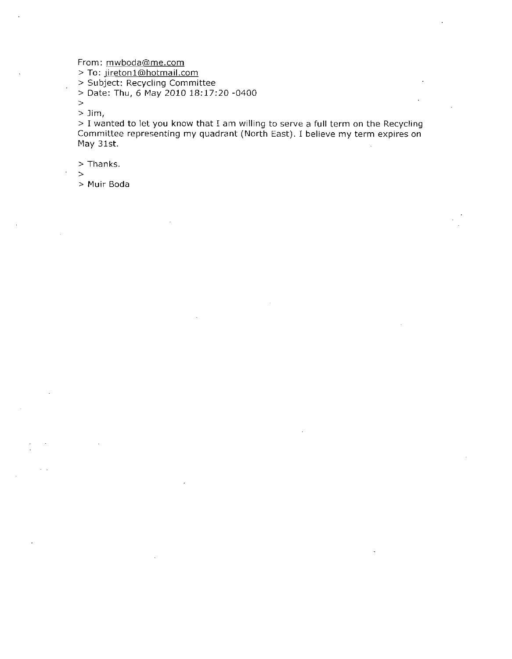From: mwboda@me.com

To mwboda@me.com<br>jireton1@hotmail.com<br>ject: Recycling Comm

Subject Recycling Committee

 $>$  Date: Thu, 6 May 2010 18:17:20 -0400

 $\geq$ 

 $>$  Jim,

> I wanted to let you know that I am willing to serve a full term on the Recycling Committee representing my quadrant (North East). I believe my term expires on May 31st

 $>$  Thanks.

 $\geq$ 

Muir Boda